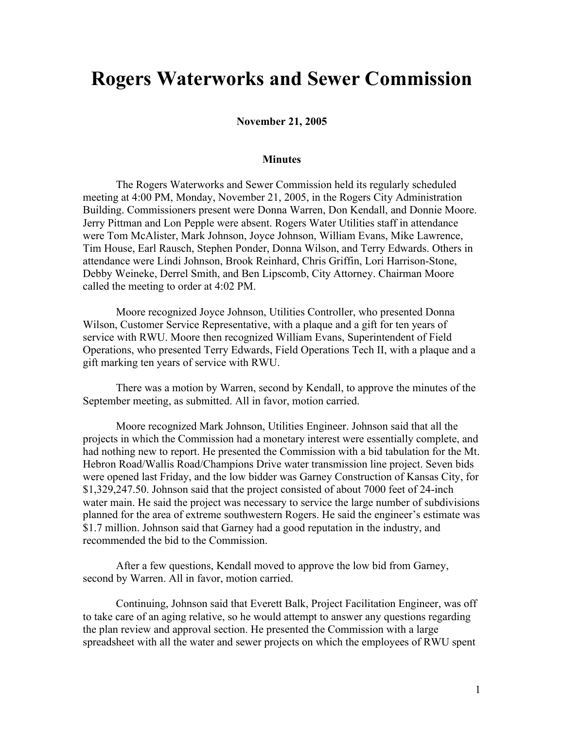## **Rogers Waterworks and Sewer Commission**

**November 21, 2005**

## **Minutes**

The Rogers Waterworks and Sewer Commission held its regularly scheduled meeting at 4:00 PM, Monday, November 21, 2005, in the Rogers City Administration Building. Commissioners present were Donna Warren, Don Kendall, and Donnie Moore. Jerry Pittman and Lon Pepple were absent. Rogers Water Utilities staff in attendance were Tom McAlister, Mark Johnson, Joyce Johnson, William Evans, Mike Lawrence, Tim House, Earl Rausch, Stephen Ponder, Donna Wilson, and Terry Edwards. Others in attendance were Lindi Johnson, Brook Reinhard, Chris Griffin, Lori Harrison-Stone, Debby Weineke, Derrel Smith, and Ben Lipscomb, City Attorney. Chairman Moore called the meeting to order at 4:02 PM.

Moore recognized Joyce Johnson, Utilities Controller, who presented Donna Wilson, Customer Service Representative, with a plaque and a gift for ten years of service with RWU. Moore then recognized William Evans, Superintendent of Field Operations, who presented Terry Edwards, Field Operations Tech II, with a plaque and a gift marking ten years of service with RWU.

There was a motion by Warren, second by Kendall, to approve the minutes of the September meeting, as submitted. All in favor, motion carried.

Moore recognized Mark Johnson, Utilities Engineer. Johnson said that all the projects in which the Commission had a monetary interest were essentially complete, and had nothing new to report. He presented the Commission with a bid tabulation for the Mt. Hebron Road/Wallis Road/Champions Drive water transmission line project. Seven bids were opened last Friday, and the low bidder was Garney Construction of Kansas City, for \$1,329,247.50. Johnson said that the project consisted of about 7000 feet of 24-inch water main. He said the project was necessary to service the large number of subdivisions planned for the area of extreme southwestern Rogers. He said the engineer's estimate was \$1.7 million. Johnson said that Garney had a good reputation in the industry, and recommended the bid to the Commission.

After a few questions, Kendall moved to approve the low bid from Garney, second by Warren. All in favor, motion carried.

Continuing, Johnson said that Everett Balk, Project Facilitation Engineer, was off to take care of an aging relative, so he would attempt to answer any questions regarding the plan review and approval section. He presented the Commission with a large spreadsheet with all the water and sewer projects on which the employees of RWU spent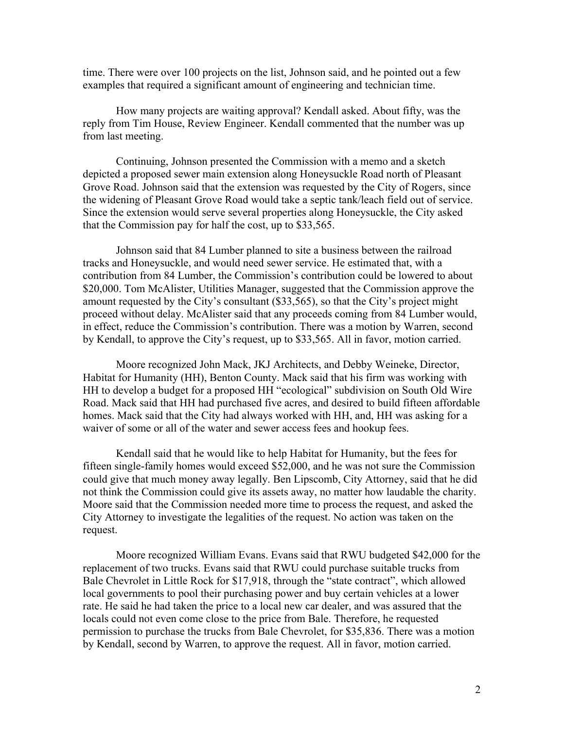time. There were over 100 projects on the list, Johnson said, and he pointed out a few examples that required a significant amount of engineering and technician time.

How many projects are waiting approval? Kendall asked. About fifty, was the reply from Tim House, Review Engineer. Kendall commented that the number was up from last meeting.

Continuing, Johnson presented the Commission with a memo and a sketch depicted a proposed sewer main extension along Honeysuckle Road north of Pleasant Grove Road. Johnson said that the extension was requested by the City of Rogers, since the widening of Pleasant Grove Road would take a septic tank/leach field out of service. Since the extension would serve several properties along Honeysuckle, the City asked that the Commission pay for half the cost, up to \$33,565.

Johnson said that 84 Lumber planned to site a business between the railroad tracks and Honeysuckle, and would need sewer service. He estimated that, with a contribution from 84 Lumber, the Commission's contribution could be lowered to about \$20,000. Tom McAlister, Utilities Manager, suggested that the Commission approve the amount requested by the City's consultant (\$33,565), so that the City's project might proceed without delay. McAlister said that any proceeds coming from 84 Lumber would, in effect, reduce the Commission's contribution. There was a motion by Warren, second by Kendall, to approve the City's request, up to \$33,565. All in favor, motion carried.

Moore recognized John Mack, JKJ Architects, and Debby Weineke, Director, Habitat for Humanity (HH), Benton County. Mack said that his firm was working with HH to develop a budget for a proposed HH "ecological" subdivision on South Old Wire Road. Mack said that HH had purchased five acres, and desired to build fifteen affordable homes. Mack said that the City had always worked with HH, and, HH was asking for a waiver of some or all of the water and sewer access fees and hookup fees.

Kendall said that he would like to help Habitat for Humanity, but the fees for fifteen single-family homes would exceed \$52,000, and he was not sure the Commission could give that much money away legally. Ben Lipscomb, City Attorney, said that he did not think the Commission could give its assets away, no matter how laudable the charity. Moore said that the Commission needed more time to process the request, and asked the City Attorney to investigate the legalities of the request. No action was taken on the request.

Moore recognized William Evans. Evans said that RWU budgeted \$42,000 for the replacement of two trucks. Evans said that RWU could purchase suitable trucks from Bale Chevrolet in Little Rock for \$17,918, through the "state contract", which allowed local governments to pool their purchasing power and buy certain vehicles at a lower rate. He said he had taken the price to a local new car dealer, and was assured that the locals could not even come close to the price from Bale. Therefore, he requested permission to purchase the trucks from Bale Chevrolet, for \$35,836. There was a motion by Kendall, second by Warren, to approve the request. All in favor, motion carried.